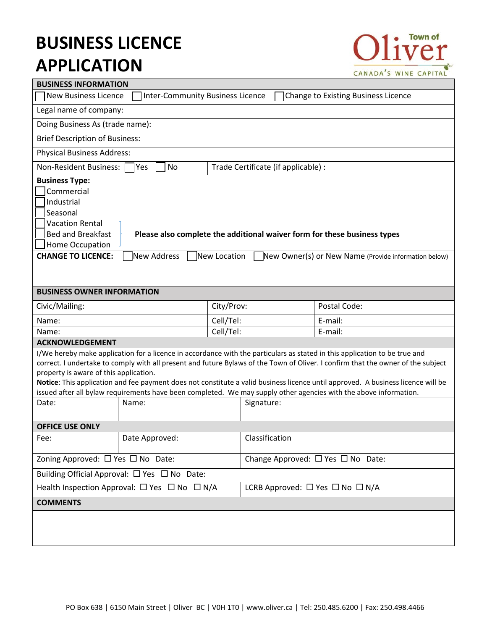# **BUSINESS LICENCE APPLICATION**



| <b>BUSINESS INFORMATION</b>                                                                                                                                                                                                                                                                                                                                                                                                                                                                                                                                       |                |            |                                                |              |  |  |
|-------------------------------------------------------------------------------------------------------------------------------------------------------------------------------------------------------------------------------------------------------------------------------------------------------------------------------------------------------------------------------------------------------------------------------------------------------------------------------------------------------------------------------------------------------------------|----------------|------------|------------------------------------------------|--------------|--|--|
| <b>New Business Licence</b><br><b>Inter-Community Business Licence</b><br>Change to Existing Business Licence                                                                                                                                                                                                                                                                                                                                                                                                                                                     |                |            |                                                |              |  |  |
| Legal name of company:                                                                                                                                                                                                                                                                                                                                                                                                                                                                                                                                            |                |            |                                                |              |  |  |
| Doing Business As (trade name):                                                                                                                                                                                                                                                                                                                                                                                                                                                                                                                                   |                |            |                                                |              |  |  |
| <b>Brief Description of Business:</b>                                                                                                                                                                                                                                                                                                                                                                                                                                                                                                                             |                |            |                                                |              |  |  |
| <b>Physical Business Address:</b>                                                                                                                                                                                                                                                                                                                                                                                                                                                                                                                                 |                |            |                                                |              |  |  |
| <b>Non-Resident Business:</b><br>Trade Certificate (if applicable) :<br>Yes<br>No                                                                                                                                                                                                                                                                                                                                                                                                                                                                                 |                |            |                                                |              |  |  |
| <b>Business Type:</b><br>Commercial<br>Industrial<br>Seasonal<br><b>Vacation Rental</b><br><b>Bed and Breakfast</b><br>Please also complete the additional waiver form for these business types<br>Home Occupation<br><b>CHANGE TO LICENCE:</b><br>New Address<br>New Location<br>New Owner(s) or New Name (Provide information below)                                                                                                                                                                                                                            |                |            |                                                |              |  |  |
| <b>BUSINESS OWNER INFORMATION</b>                                                                                                                                                                                                                                                                                                                                                                                                                                                                                                                                 |                |            |                                                |              |  |  |
| Civic/Mailing:                                                                                                                                                                                                                                                                                                                                                                                                                                                                                                                                                    |                | City/Prov: |                                                | Postal Code: |  |  |
| Name:                                                                                                                                                                                                                                                                                                                                                                                                                                                                                                                                                             |                | Cell/Tel:  |                                                | E-mail:      |  |  |
| Name:                                                                                                                                                                                                                                                                                                                                                                                                                                                                                                                                                             |                | Cell/Tel:  |                                                | E-mail:      |  |  |
| <b>ACKNOWLEDGEMENT</b>                                                                                                                                                                                                                                                                                                                                                                                                                                                                                                                                            |                |            |                                                |              |  |  |
| I/We hereby make application for a licence in accordance with the particulars as stated in this application to be true and<br>correct. I undertake to comply with all present and future Bylaws of the Town of Oliver. I confirm that the owner of the subject<br>property is aware of this application.<br>Notice: This application and fee payment does not constitute a valid business licence until approved. A business licence will be<br>issued after all bylaw requirements have been completed. We may supply other agencies with the above information. |                |            |                                                |              |  |  |
| Date:                                                                                                                                                                                                                                                                                                                                                                                                                                                                                                                                                             | Name:          |            | Signature:                                     |              |  |  |
| <b>OFFICE USE ONLY</b>                                                                                                                                                                                                                                                                                                                                                                                                                                                                                                                                            |                |            |                                                |              |  |  |
| Fee:                                                                                                                                                                                                                                                                                                                                                                                                                                                                                                                                                              | Date Approved: |            | Classification                                 |              |  |  |
| Zoning Approved: □ Yes □ No Date:                                                                                                                                                                                                                                                                                                                                                                                                                                                                                                                                 |                |            | Change Approved: $\Box$ Yes $\Box$ No Date:    |              |  |  |
| Building Official Approval: $\Box$ Yes $\Box$ No Date:                                                                                                                                                                                                                                                                                                                                                                                                                                                                                                            |                |            |                                                |              |  |  |
| Health Inspection Approval: $\Box$ Yes $\Box$ No $\Box$ N/A                                                                                                                                                                                                                                                                                                                                                                                                                                                                                                       |                |            | LCRB Approved: $\Box$ Yes $\Box$ No $\Box$ N/A |              |  |  |
| <b>COMMENTS</b>                                                                                                                                                                                                                                                                                                                                                                                                                                                                                                                                                   |                |            |                                                |              |  |  |
|                                                                                                                                                                                                                                                                                                                                                                                                                                                                                                                                                                   |                |            |                                                |              |  |  |